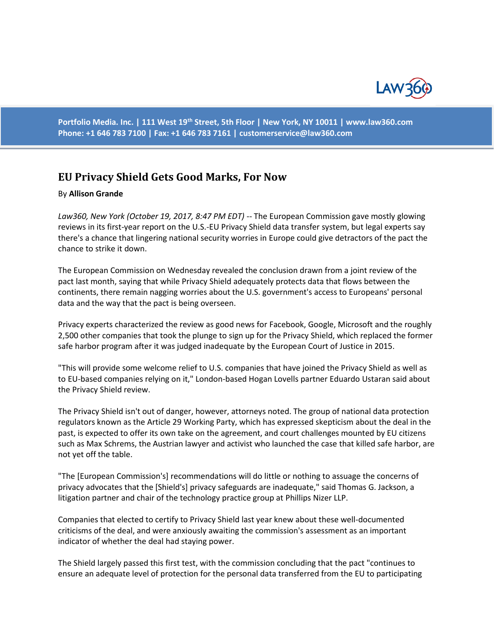

**Portfolio Media. Inc. | 111 West 19th Street, 5th Floor | New York, NY 10011 | www.law360.com Phone: +1 646 783 7100 | Fax: +1 646 783 7161 | [customerservice@law360.com](mailto:customerservice@law360.com)**

## **EU Privacy Shield Gets Good Marks, For Now**

## By **Allison Grande**

*Law360, New York (October 19, 2017, 8:47 PM EDT)* -- The European Commission gave mostly glowing reviews in its first-year report on the U.S.-EU Privacy Shield data transfer system, but legal experts say there's a chance that lingering national security worries in Europe could give detractors of the pact the chance to strike it down.

The European Commission on Wednesday revealed the conclusion drawn from a joint review of the pact last month, saying that while Privacy Shield adequately protects data that flows between the continents, there remain nagging worries about the U.S. government's access to Europeans' personal data and the way that the pact is being overseen.

Privacy experts characterized the review as good news for Facebook, Google, Microsoft and the roughly 2,500 other companies that took the plunge to sign up for the Privacy Shield, which replaced the former safe harbor program after it was judged inadequate by the European Court of Justice in 2015.

"This will provide some welcome relief to U.S. companies that have joined the Privacy Shield as well as to EU-based companies relying on it," London-based Hogan Lovells partner Eduardo Ustaran said about the Privacy Shield review.

The Privacy Shield isn't out of danger, however, attorneys noted. The group of national data protection regulators known as the Article 29 Working Party, which has expressed skepticism about the deal in the past, is expected to offer its own take on the agreement, and court challenges mounted by EU citizens such as Max Schrems, the Austrian lawyer and activist who launched the case that killed safe harbor, are not yet off the table.

"The [European Commission's] recommendations will do little or nothing to assuage the concerns of privacy advocates that the [Shield's] privacy safeguards are inadequate," said Thomas G. Jackson, a litigation partner and chair of the technology practice group at Phillips Nizer LLP.

Companies that elected to certify to Privacy Shield last year knew about these well-documented criticisms of the deal, and were anxiously awaiting the commission's assessment as an important indicator of whether the deal had staying power.

The Shield largely passed this first test, with the commission concluding that the pact "continues to ensure an adequate level of protection for the personal data transferred from the EU to participating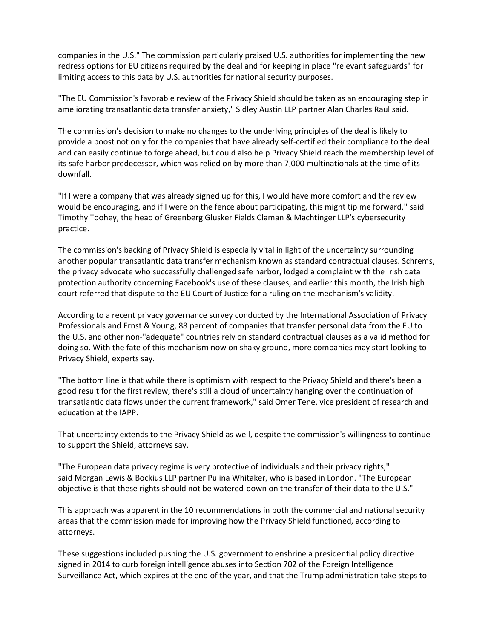companies in the U.S." The commission particularly praised U.S. authorities for implementing the new redress options for EU citizens required by the deal and for keeping in place "relevant safeguards" for limiting access to this data by U.S. authorities for national security purposes.

"The EU Commission's favorable review of the Privacy Shield should be taken as an encouraging step in ameliorating transatlantic data transfer anxiety," Sidley Austin LLP partner Alan Charles Raul said.

The commission's decision to make no changes to the underlying principles of the deal is likely to provide a boost not only for the companies that have already self-certified their compliance to the deal and can easily continue to forge ahead, but could also help Privacy Shield reach the membership level of its safe harbor predecessor, which was relied on by more than 7,000 multinationals at the time of its downfall.

"If I were a company that was already signed up for this, I would have more comfort and the review would be encouraging, and if I were on the fence about participating, this might tip me forward," said Timothy Toohey, the head of Greenberg Glusker Fields Claman & Machtinger LLP's cybersecurity practice.

The commission's backing of Privacy Shield is especially vital in light of the uncertainty surrounding another popular transatlantic data transfer mechanism known as standard contractual clauses. Schrems, the privacy advocate who successfully challenged safe harbor, lodged a complaint with the Irish data protection authority concerning Facebook's use of these clauses, and earlier this month, the Irish high court referred that dispute to the EU Court of Justice for a ruling on the mechanism's validity.

According to a recent privacy governance survey conducted by the International Association of Privacy Professionals and Ernst & Young, 88 percent of companies that transfer personal data from the EU to the U.S. and other non-"adequate" countries rely on standard contractual clauses as a valid method for doing so. With the fate of this mechanism now on shaky ground, more companies may start looking to Privacy Shield, experts say.

"The bottom line is that while there is optimism with respect to the Privacy Shield and there's been a good result for the first review, there's still a cloud of uncertainty hanging over the continuation of transatlantic data flows under the current framework," said Omer Tene, vice president of research and education at the IAPP.

That uncertainty extends to the Privacy Shield as well, despite the commission's willingness to continue to support the Shield, attorneys say.

"The European data privacy regime is very protective of individuals and their privacy rights," said Morgan Lewis & Bockius LLP partner Pulina Whitaker, who is based in London. "The European objective is that these rights should not be watered-down on the transfer of their data to the U.S."

This approach was apparent in the 10 recommendations in both the commercial and national security areas that the commission made for improving how the Privacy Shield functioned, according to attorneys.

These suggestions included pushing the U.S. government to enshrine a presidential policy directive signed in 2014 to curb foreign intelligence abuses into Section 702 of the Foreign Intelligence Surveillance Act, which expires at the end of the year, and that the Trump administration take steps to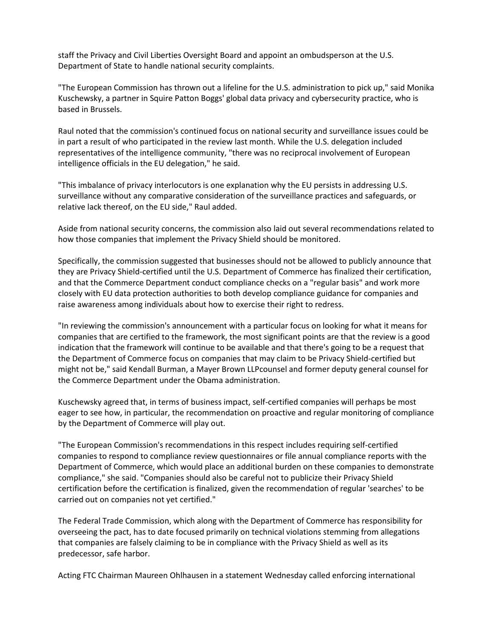staff the Privacy and Civil Liberties Oversight Board and appoint an ombudsperson at the U.S. Department of State to handle national security complaints.

"The European Commission has thrown out a lifeline for the U.S. administration to pick up," said Monika Kuschewsky, a partner in Squire Patton Boggs' global data privacy and cybersecurity practice, who is based in Brussels.

Raul noted that the commission's continued focus on national security and surveillance issues could be in part a result of who participated in the review last month. While the U.S. delegation included representatives of the intelligence community, "there was no reciprocal involvement of European intelligence officials in the EU delegation," he said.

"This imbalance of privacy interlocutors is one explanation why the EU persists in addressing U.S. surveillance without any comparative consideration of the surveillance practices and safeguards, or relative lack thereof, on the EU side," Raul added.

Aside from national security concerns, the commission also laid out several recommendations related to how those companies that implement the Privacy Shield should be monitored.

Specifically, the commission suggested that businesses should not be allowed to publicly announce that they are Privacy Shield-certified until the U.S. Department of Commerce has finalized their certification, and that the Commerce Department conduct compliance checks on a "regular basis" and work more closely with EU data protection authorities to both develop compliance guidance for companies and raise awareness among individuals about how to exercise their right to redress.

"In reviewing the commission's announcement with a particular focus on looking for what it means for companies that are certified to the framework, the most significant points are that the review is a good indication that the framework will continue to be available and that there's going to be a request that the Department of Commerce focus on companies that may claim to be Privacy Shield-certified but might not be," said Kendall Burman, a Mayer Brown LLPcounsel and former deputy general counsel for the Commerce Department under the Obama administration.

Kuschewsky agreed that, in terms of business impact, self-certified companies will perhaps be most eager to see how, in particular, the recommendation on proactive and regular monitoring of compliance by the Department of Commerce will play out.

"The European Commission's recommendations in this respect includes requiring self-certified companies to respond to compliance review questionnaires or file annual compliance reports with the Department of Commerce, which would place an additional burden on these companies to demonstrate compliance," she said. "Companies should also be careful not to publicize their Privacy Shield certification before the certification is finalized, given the recommendation of regular 'searches' to be carried out on companies not yet certified."

The Federal Trade Commission, which along with the Department of Commerce has responsibility for overseeing the pact, has to date focused primarily on technical violations stemming from allegations that companies are falsely claiming to be in compliance with the Privacy Shield as well as its predecessor, safe harbor.

Acting FTC Chairman Maureen Ohlhausen in a statement Wednesday called enforcing international